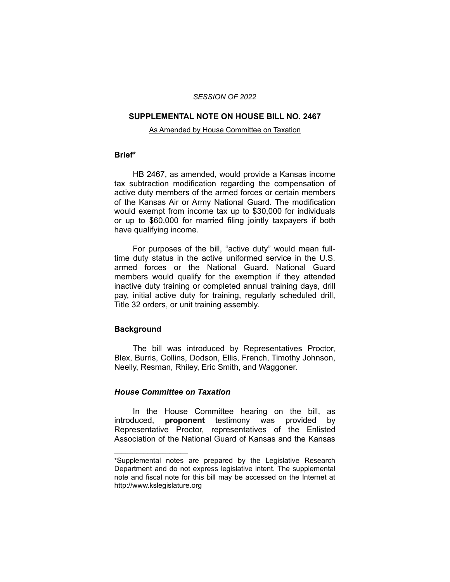#### *SESSION OF 2022*

### **SUPPLEMENTAL NOTE ON HOUSE BILL NO. 2467**

#### As Amended by House Committee on Taxation

# **Brief\***

HB 2467, as amended, would provide a Kansas income tax subtraction modification regarding the compensation of active duty members of the armed forces or certain members of the Kansas Air or Army National Guard. The modification would exempt from income tax up to \$30,000 for individuals or up to \$60,000 for married filing jointly taxpayers if both have qualifying income.

For purposes of the bill, "active duty" would mean fulltime duty status in the active uniformed service in the U.S. armed forces or the National Guard. National Guard members would qualify for the exemption if they attended inactive duty training or completed annual training days, drill pay, initial active duty for training, regularly scheduled drill, Title 32 orders, or unit training assembly.

# **Background**

The bill was introduced by Representatives Proctor, Blex, Burris, Collins, Dodson, Ellis, French, Timothy Johnson, Neelly, Resman, Rhiley, Eric Smith, and Waggoner.

# *House Committee on Taxation*

 $\overline{\phantom{a}}$  , where  $\overline{\phantom{a}}$  , where  $\overline{\phantom{a}}$ 

In the House Committee hearing on the bill, as introduced, **proponent** testimony was provided by Representative Proctor, representatives of the Enlisted Association of the National Guard of Kansas and the Kansas

<sup>\*</sup>Supplemental notes are prepared by the Legislative Research Department and do not express legislative intent. The supplemental note and fiscal note for this bill may be accessed on the Internet at http://www.kslegislature.org